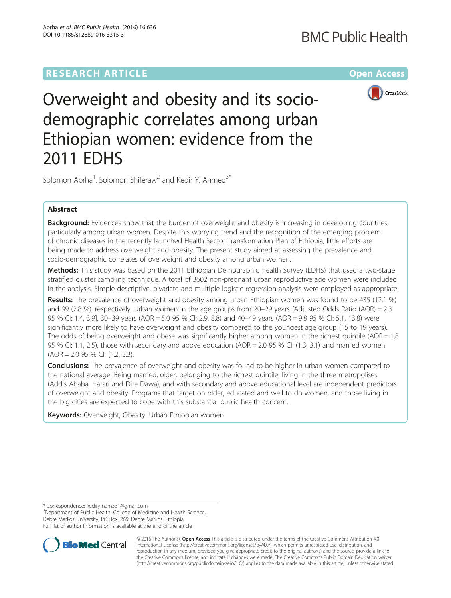# **RESEARCH ARTICLE Example 2014 12:30 The Community Community Community Community Community Community Community**



Overweight and obesity and its sociodemographic correlates among urban Ethiopian women: evidence from the 2011 EDHS

Solomon Abrha<sup>1</sup>, Solomon Shiferaw<sup>2</sup> and Kedir Y. Ahmed<sup>3\*</sup>

# Abstract

**Background:** Evidences show that the burden of overweight and obesity is increasing in developing countries, particularly among urban women. Despite this worrying trend and the recognition of the emerging problem of chronic diseases in the recently launched Health Sector Transformation Plan of Ethiopia, little efforts are being made to address overweight and obesity. The present study aimed at assessing the prevalence and socio-demographic correlates of overweight and obesity among urban women.

**Methods:** This study was based on the 2011 Ethiopian Demographic Health Survey (EDHS) that used a two-stage stratified cluster sampling technique. A total of 3602 non-pregnant urban reproductive age women were included in the analysis. Simple descriptive, bivariate and multiple logistic regression analysis were employed as appropriate.

Results: The prevalence of overweight and obesity among urban Ethiopian women was found to be 435 (12.1 %) and 99 (2.8 %), respectively. Urban women in the age groups from 20–29 years [Adjusted Odds Ratio (AOR) = 2.3 95 % CI: 1.4, 3.9], 30–39 years (AOR = 5.0 95 % CI: 2.9, 8.8) and 40–49 years (AOR = 9.8 95 % CI: 5.1, 13.8) were significantly more likely to have overweight and obesity compared to the youngest age group (15 to 19 years). The odds of being overweight and obese was significantly higher among women in the richest quintile (AOR = 1.8) 95 % CI: 1.1, 2.5), those with secondary and above education (AOR = 2.0 95 % CI: (1.3, 3.1) and married women (AOR = 2.0 95 % CI: (1.2, 3.3).

**Conclusions:** The prevalence of overweight and obesity was found to be higher in urban women compared to the national average. Being married, older, belonging to the richest quintile, living in the three metropolises (Addis Ababa, Harari and Dire Dawa), and with secondary and above educational level are independent predictors of overweight and obesity. Programs that target on older, educated and well to do women, and those living in the big cities are expected to cope with this substantial public health concern.

**Keywords:** Overweight, Obesity, Urban Ethiopian women

\* Correspondence: [kedirymam331@gmail.com](mailto:kedirymam331@gmail.com) <sup>3</sup>

<sup>3</sup>Department of Public Health, College of Medicine and Health Science, Debre Markos University, PO Box: 269, Debre Markos, Ethiopia Full list of author information is available at the end of the article



© 2016 The Author(s). Open Access This article is distributed under the terms of the Creative Commons Attribution 4.0 International License [\(http://creativecommons.org/licenses/by/4.0/](http://creativecommons.org/licenses/by/4.0/)), which permits unrestricted use, distribution, and reproduction in any medium, provided you give appropriate credit to the original author(s) and the source, provide a link to the Creative Commons license, and indicate if changes were made. The Creative Commons Public Domain Dedication waiver [\(http://creativecommons.org/publicdomain/zero/1.0/](http://creativecommons.org/publicdomain/zero/1.0/)) applies to the data made available in this article, unless otherwise stated.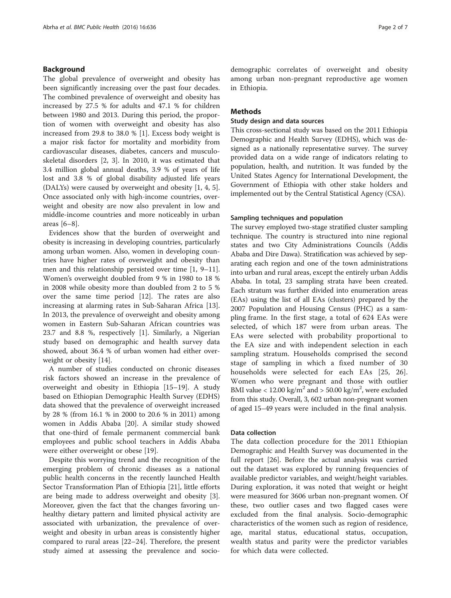# Background

The global prevalence of overweight and obesity has been significantly increasing over the past four decades. The combined prevalence of overweight and obesity has increased by 27.5 % for adults and 47.1 % for children between 1980 and 2013. During this period, the proportion of women with overweight and obesity has also increased from 29.8 to 38.0 % [\[1\]](#page-5-0). Excess body weight is a major risk factor for mortality and morbidity from cardiovascular diseases, diabetes, cancers and musculoskeletal disorders [\[2](#page-5-0), [3](#page-5-0)]. In 2010, it was estimated that 3.4 million global annual deaths, 3.9 % of years of life lost and 3.8 % of global disability adjusted life years (DALYs) were caused by overweight and obesity [\[1](#page-5-0), [4](#page-5-0), [5](#page-5-0)]. Once associated only with high-income countries, overweight and obesity are now also prevalent in low and middle-income countries and more noticeably in urban areas [[6](#page-5-0)–[8](#page-5-0)].

Evidences show that the burden of overweight and obesity is increasing in developing countries, particularly among urban women. Also, women in developing countries have higher rates of overweight and obesity than men and this relationship persisted over time [[1, 9](#page-5-0)–[11](#page-5-0)]. Women's overweight doubled from 9 % in 1980 to 18 % in 2008 while obesity more than doubled from 2 to 5 % over the same time period [[12](#page-5-0)]. The rates are also increasing at alarming rates in Sub-Saharan Africa [\[13](#page-5-0)]. In 2013, the prevalence of overweight and obesity among women in Eastern Sub-Saharan African countries was 23.7 and 8.8 %, respectively [[1\]](#page-5-0). Similarly, a Nigerian study based on demographic and health survey data showed, about 36.4 % of urban women had either overweight or obesity [[14\]](#page-5-0).

A number of studies conducted on chronic diseases risk factors showed an increase in the prevalence of overweight and obesity in Ethiopia [\[15](#page-5-0)–[19\]](#page-5-0). A study based on Ethiopian Demographic Health Survey (EDHS) data showed that the prevalence of overweight increased by 28 % (from 16.1 % in 2000 to 20.6 % in 2011) among women in Addis Ababa [[20\]](#page-5-0). A similar study showed that one-third of female permanent commercial bank employees and public school teachers in Addis Ababa were either overweight or obese [[19\]](#page-5-0).

Despite this worrying trend and the recognition of the emerging problem of chronic diseases as a national public health concerns in the recently launched Health Sector Transformation Plan of Ethiopia [[21\]](#page-5-0), little efforts are being made to address overweight and obesity [\[3](#page-5-0)]. Moreover, given the fact that the changes favoring unhealthy dietary pattern and limited physical activity are associated with urbanization, the prevalence of overweight and obesity in urban areas is consistently higher compared to rural areas [[22](#page-5-0)–[24](#page-5-0)]. Therefore, the present study aimed at assessing the prevalence and sociodemographic correlates of overweight and obesity among urban non-pregnant reproductive age women in Ethiopia.

# **Methods**

## Study design and data sources

This cross-sectional study was based on the 2011 Ethiopia Demographic and Health Survey (EDHS), which was designed as a nationally representative survey. The survey provided data on a wide range of indicators relating to population, health, and nutrition. It was funded by the United States Agency for International Development, the Government of Ethiopia with other stake holders and implemented out by the Central Statistical Agency (CSA).

# Sampling techniques and population

The survey employed two-stage stratified cluster sampling technique. The country is structured into nine regional states and two City Administrations Councils (Addis Ababa and Dire Dawa). Stratification was achieved by separating each region and one of the town administrations into urban and rural areas, except the entirely urban Addis Ababa. In total, 23 sampling strata have been created. Each stratum was further divided into enumeration areas (EAs) using the list of all EAs (clusters) prepared by the 2007 Population and Housing Census (PHC) as a sampling frame. In the first stage, a total of 624 EAs were selected, of which 187 were from urban areas. The EAs were selected with probability proportional to the EA size and with independent selection in each sampling stratum. Households comprised the second stage of sampling in which a fixed number of 30 households were selected for each EAs [[25, 26](#page-5-0)]. Women who were pregnant and those with outlier BMI value <  $12.00 \text{ kg/m}^2$  and >  $50.00 \text{ kg/m}^2$ , were excluded from this study. Overall, 3, 602 urban non-pregnant women of aged 15–49 years were included in the final analysis.

# Data collection

The data collection procedure for the 2011 Ethiopian Demographic and Health Survey was documented in the full report [\[26\]](#page-5-0). Before the actual analysis was carried out the dataset was explored by running frequencies of available predictor variables, and weight/height variables. During exploration, it was noted that weight or height were measured for 3606 urban non-pregnant women. Of these, two outlier cases and two flagged cases were excluded from the final analysis. Socio-demographic characteristics of the women such as region of residence, age, marital status, educational status, occupation, wealth status and parity were the predictor variables for which data were collected.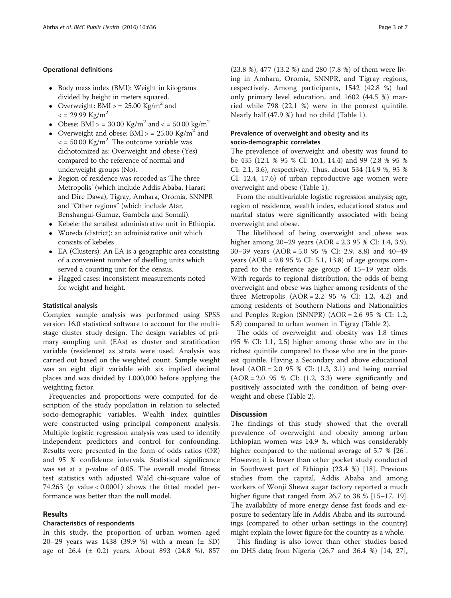# Operational definitions

- Body mass index (BMI): Weight in kilograms divided by height in meters squared.
- Overweight: BMI > = 25.00 Kg/m<sup>2</sup> and  $<-29.99$  Kg/m<sup>2</sup>
- Obese: BMI > = 30.00 Kg/m<sup>2</sup> and < = 50.00 kg/m<sup>2</sup>
- Overweight and obese: BMI > =  $25.00 \text{ Kg/m}^2$  and  $\epsilon$  = 50.00 Kg/m<sup>2.</sup> The outcome variable was dichotomized as: Overweight and obese (Yes) compared to the reference of normal and underweight groups (No).
- Region of residence was recoded as 'The three Metropolis' (which include Addis Ababa, Harari and Dire Dawa), Tigray, Amhara, Oromia, SNNPR and "Other regions" (which include Afar, Benshangul-Gumuz, Gambela and Somali).
- Kebele: the smallest administrative unit in Ethiopia.
- Woreda (district): an administrative unit which consists of kebeles
- EA (Clusters): An EA is a geographic area consisting of a convenient number of dwelling units which served a counting unit for the census.
- Flagged cases: inconsistent measurements noted for weight and height.

#### Statistical analysis

Complex sample analysis was performed using SPSS version 16.0 statistical software to account for the multistage cluster study design. The design variables of primary sampling unit (EAs) as cluster and stratification variable (residence) as strata were used. Analysis was carried out based on the weighted count. Sample weight was an eight digit variable with six implied decimal places and was divided by 1,000,000 before applying the weighting factor.

Frequencies and proportions were computed for description of the study population in relation to selected socio-demographic variables. Wealth index quintiles were constructed using principal component analysis. Multiple logistic regression analysis was used to identify independent predictors and control for confounding. Results were presented in the form of odds ratios (OR) and 95 % confidence intervals. Statistical significance was set at a p-value of 0.05. The overall model fitness test statistics with adjusted Wald chi-square value of 74.263 ( $p$  value < 0.0001) shows the fitted model performance was better than the null model.

# Results

### Characteristics of respondents

In this study, the proportion of urban women aged 20–29 years was 1438 (39.9 %) with a mean (± SD) age of 26.4 (± 0.2) years. About 893 (24.8 %), 857

(23.8 %), 477 (13.2 %) and 280 (7.8 %) of them were living in Amhara, Oromia, SNNPR, and Tigray regions, respectively. Among participants, 1542 (42.8 %) had only primary level education, and 1602 (44.5 %) married while 798 (22.1 %) were in the poorest quintile. Nearly half (47.9 %) had no child (Table [1](#page-3-0)).

# Prevalence of overweight and obesity and its socio-demographic correlates

The prevalence of overweight and obesity was found to be 435 (12.1 % 95 % CI: 10.1, 14.4) and 99 (2.8 % 95 % CI: 2.1, 3.6), respectively. Thus, about 534 (14.9 %, 95 % CI: 12.4, 17.6) of urban reproductive age women were overweight and obese (Table [1](#page-3-0)).

From the multivariable logistic regression analysis; age, region of residence, wealth index, educational status and marital status were significantly associated with being overweight and obese.

The likelihood of being overweight and obese was higher among 20–29 years (AOR = 2.3 95 % CI: 1.4, 3.9), 30–39 years (AOR = 5.0 95 % CI: 2.9, 8.8) and 40–49 years  $(AOR = 9.8 95 % CI: 5.1, 13.8)$  of age groups compared to the reference age group of 15–19 year olds. With regards to regional distribution, the odds of being overweight and obese was higher among residents of the three Metropolis  $(AOR = 2.2 \ 95 \ % \ CL: 1.2, 4.2)$  and among residents of Southern Nations and Nationalities and Peoples Region (SNNPR)  $(AOR = 2.6 95 % CI: 1.2,$ 5.8) compared to urban women in Tigray (Table [2\)](#page-4-0).

The odds of overweight and obesity was 1.8 times (95 % CI: 1.1, 2.5) higher among those who are in the richest quintile compared to those who are in the poorest quintile. Having a Secondary and above educational level (AOR = 2.0 95 % CI: (1.3, 3.1) and being married  $(AOR = 2.0 95 % CI: (1.2, 3.3) were significantly and$ positively associated with the condition of being overweight and obese (Table [2\)](#page-4-0).

# **Discussion**

The findings of this study showed that the overall prevalence of overweight and obesity among urban Ethiopian women was 14.9 %, which was considerably higher compared to the national average of 5.7 % [\[26](#page-5-0)]. However, it is lower than other pocket study conducted in Southwest part of Ethiopia (23.4 %) [[18\]](#page-5-0). Previous studies from the capital, Addis Ababa and among workers of Wonji Shewa sugar factory reported a much higher figure that ranged from 26.7 to 38 % [[15](#page-5-0)–[17, 19](#page-5-0)]. The availability of more energy dense fast foods and exposure to sedentary life in Addis Ababa and its surroundings (compared to other urban settings in the country) might explain the lower figure for the country as a whole.

This finding is also lower than other studies based on DHS data; from Nigeria (26.7 and 36.4 %) [\[14](#page-5-0), [27](#page-5-0)],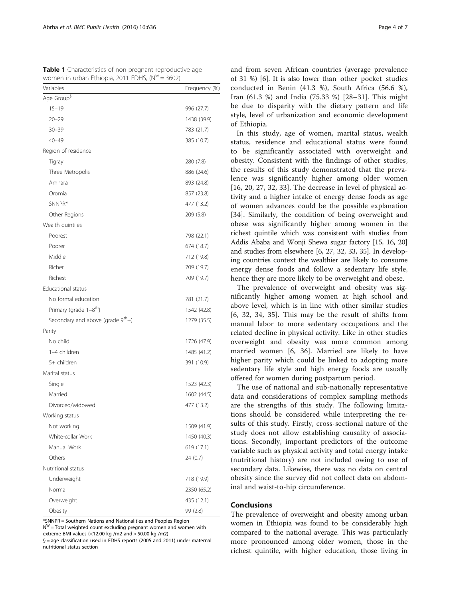<span id="page-3-0"></span>Table 1 Characteristics of non-pregnant reproductive age women in urban Ethiopia, 2011 EDHS,  $(N<sup>w</sup> = 3602)$ 

| Variables                                     | Frequency (%) |
|-----------------------------------------------|---------------|
| Age Group <sup>§</sup>                        |               |
| $15 - 19$                                     | 996 (27.7)    |
| $20 - 29$                                     | 1438 (39.9)   |
| $30 - 39$                                     | 783 (21.7)    |
| $40 - 49$                                     | 385 (10.7)    |
| Region of residence                           |               |
| Tigray                                        | 280 (7.8)     |
| Three Metropolis                              | 886 (24.6)    |
| Amhara                                        | 893 (24.8)    |
| Oromia                                        | 857 (23.8)    |
| SNNPR*                                        | 477 (13.2)    |
| Other Regions                                 | 209 (5.8)     |
| Wealth quintiles                              |               |
| Poorest                                       | 798 (22.1)    |
| Poorer                                        | 674 (18.7)    |
| Middle                                        | 712 (19.8)    |
| Richer                                        | 709 (19.7)    |
| Richest                                       | 709 (19.7)    |
| Educational status                            |               |
| No formal education                           | 781 (21.7)    |
| Primary (grade 1-8 <sup>th</sup> )            | 1542 (42.8)   |
| Secondary and above (grade 9 <sup>th</sup> +) | 1279 (35.5)   |
| Parity                                        |               |
| No child                                      | 1726 (47.9)   |
| 1-4 children                                  | 1485 (41.2)   |
| 5+ children                                   | 391 (10.9)    |
| Marital status                                |               |
| Single                                        | 1523 (42.3)   |
| Married                                       | 1602 (44.5)   |
| Divorced/widowed                              | 477 (13.2)    |
| Working status                                |               |
| Not working                                   | 1509 (41.9)   |
| White-collar Work                             | 1450 (40.3)   |
| Manual Work                                   | 619 (17.1)    |
| Others                                        | 24 (0.7)      |
| Nutritional status                            |               |
| Underweight                                   | 718 (19.9)    |
| Normal                                        | 2350 (65.2)   |
| Overweight                                    | 435 (12.1)    |
| Obesity                                       | 99 (2.8)      |

\*SNNPR = Southern Nations and Nationalities and Peoples Region  $N<sup>W</sup>$  = Total weighted count excluding pregnant women and women with extreme BMI values (<12.00 kg /m2 and > 50.00 kg /m2)

§ = age classification used in EDHS reports (2005 and 2011) under maternal nutritional status section

and from seven African countries (average prevalence of 31 %) [[6](#page-5-0)]. It is also lower than other pocket studies conducted in Benin (41.3 %), South Africa (56.6 %), Iran (61.3 %) and India (75.33 %) [\[28](#page-5-0)–[31](#page-6-0)]. This might be due to disparity with the dietary pattern and life style, level of urbanization and economic development of Ethiopia.

In this study, age of women, marital status, wealth status, residence and educational status were found to be significantly associated with overweight and obesity. Consistent with the findings of other studies, the results of this study demonstrated that the prevalence was significantly higher among older women [[16, 20](#page-5-0), [27](#page-5-0), [32, 33\]](#page-6-0). The decrease in level of physical activity and a higher intake of energy dense foods as age of women advances could be the possible explanation [[34](#page-6-0)]. Similarly, the condition of being overweight and obese was significantly higher among women in the richest quintile which was consistent with studies from Addis Ababa and Wonji Shewa sugar factory [\[15, 16](#page-5-0), [20](#page-5-0)] and studies from elsewhere [\[6](#page-5-0), [27,](#page-5-0) [32, 33, 35](#page-6-0)]. In developing countries context the wealthier are likely to consume energy dense foods and follow a sedentary life style, hence they are more likely to be overweight and obese.

The prevalence of overweight and obesity was significantly higher among women at high school and above level, which is in line with other similar studies [[6,](#page-5-0) [32, 34, 35\]](#page-6-0). This may be the result of shifts from manual labor to more sedentary occupations and the related decline in physical activity. Like in other studies overweight and obesity was more common among married women [\[6](#page-5-0), [36\]](#page-6-0). Married are likely to have higher parity which could be linked to adopting more sedentary life style and high energy foods are usually offered for women during postpartum period.

The use of national and sub-nationally representative data and considerations of complex sampling methods are the strengths of this study. The following limitations should be considered while interpreting the results of this study. Firstly, cross-sectional nature of the study does not allow establishing causality of associations. Secondly, important predictors of the outcome variable such as physical activity and total energy intake (nutritional history) are not included owing to use of secondary data. Likewise, there was no data on central obesity since the survey did not collect data on abdominal and waist-to-hip circumference.

#### Conclusions

The prevalence of overweight and obesity among urban women in Ethiopia was found to be considerably high compared to the national average. This was particularly more pronounced among older women, those in the richest quintile, with higher education, those living in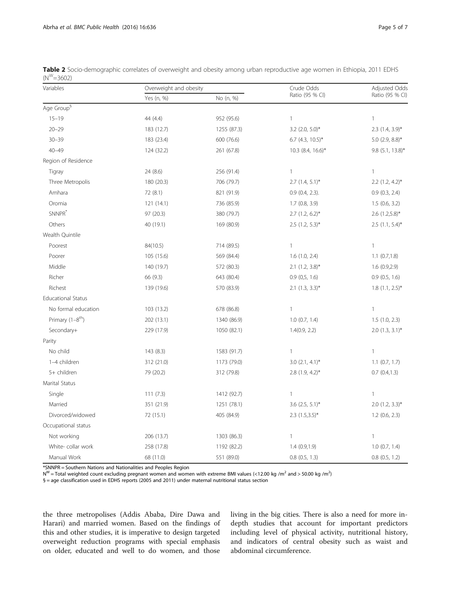<span id="page-4-0"></span>

| Table 2 Socio-demographic correlates of overweight and obesity among urban reproductive age women in Ethiopia, 2011 EDHS |  |  |  |  |
|--------------------------------------------------------------------------------------------------------------------------|--|--|--|--|
| $(N^W=3602)$                                                                                                             |  |  |  |  |

| Variables                 | Overweight and obesity |             | Crude Odds          | Adjusted Odds       |  |  |
|---------------------------|------------------------|-------------|---------------------|---------------------|--|--|
|                           | Yes (n, %)             | No (n, %)   | Ratio (95 % CI)     | Ratio (95 % CI)     |  |  |
| Age Group <sup>§</sup>    |                        |             |                     |                     |  |  |
| $15 - 19$                 | 44 (4.4)               | 952 (95.6)  | $\mathbf{1}$        | $\mathbf{1}$        |  |  |
| $20 - 29$                 | 183 (12.7)             | 1255 (87.3) | 3.2 (2.0, 5.0)*     | 2.3 $(1.4, 3.9)^*$  |  |  |
| $30 - 39$                 | 183 (23.4)             | 600 (76.6)  | 6.7 (4.3, 10.5)*    | 5.0 $(2.9, 8.8)^*$  |  |  |
| $40 - 49$                 | 124 (32.2)             | 261 (67.8)  | 10.3 (8.4, 16.6)*   | 9.8 $(5.1, 13.8)^*$ |  |  |
| Region of Residence       |                        |             |                     |                     |  |  |
| Tigray                    | 24 (8.6)               | 256 (91.4)  | $\mathbf{1}$        | $\mathbf{1}$        |  |  |
| Three Metropolis          | 180 (20.3)             | 706 (79.7)  | $2.7$ (1.4, 5.1)*   | $2.2$ (1.2, 4.2)*   |  |  |
| Amhara                    | 72 (8.1)               | 821 (91.9)  | $0.9$ (0.4, 2.3).   | 0.9(0.3, 2.4)       |  |  |
| Oromia                    | 121 (14.1)             | 736 (85.9)  | $1.7$ (0.8, 3.9)    | $1.5$ (0.6, 3.2)    |  |  |
| SNNPR <sup>*</sup>        | 97 (20.3)              | 380 (79.7)  | $2.7$ (1.2, 6.2)*   | $2.6$ (1.2,5.8)*    |  |  |
| Others                    | 40 (19.1)              | 169 (80.9)  | $2.5$ (1.2, 5.3)*   | $2.5$ (1.1, 5.4)*   |  |  |
| Wealth Quintile           |                        |             |                     |                     |  |  |
| Poorest                   | 84(10.5)               | 714 (89.5)  | $\mathbf{1}$        | $\mathbf{1}$        |  |  |
| Poorer                    | 105 (15.6)             | 569 (84.4)  | $1.6$ $(1.0, 2.4)$  | $1.1$ $(0.7, 1.8)$  |  |  |
| Middle                    | 140 (19.7)             | 572 (80.3)  | $2.1$ (1.2, 3.8)*   | 1.6(0.9, 2.9)       |  |  |
| Richer                    | 66 (9.3)               | 643 (80.4)  | 0.9(0.5, 1.6)       | $0.9$ $(0.5, 1.6)$  |  |  |
| Richest                   | 139 (19.6)             | 570 (83.9)  | $2.1$ (1.3, 3.3)*   | $1.8$ (1.1, 2.5)*   |  |  |
| <b>Educational Status</b> |                        |             |                     |                     |  |  |
| No formal education       | 103 (13.2)             | 678 (86.8)  | $\mathbf{1}$        | $\mathbf{1}$        |  |  |
| Primary $(1-8^{th})$      | 202 (13.1)             | 1340 (86.9) | $1.0$ (0.7, 1.4)    | 1.5(1.0, 2.3)       |  |  |
| Secondary+                | 229 (17.9)             | 1050 (82.1) | 1.4(0.9, 2.2)       | $2.0$ (1.3, 3.1)*   |  |  |
| Parity                    |                        |             |                     |                     |  |  |
| No child                  | 143(8.3)               | 1583 (91.7) | $\mathbf{1}$        | $\mathbf{1}$        |  |  |
| 1-4 children              | 312 (21.0)             | 1173 (79.0) | $3.0$ (2.1, 4.1)*   | $1.1$ (0.7, 1.7)    |  |  |
| 5+ children               | 79 (20.2)              | 312 (79.8)  | $2.8$ (1.9, 4.2)*   | 0.7(0.4,1.3)        |  |  |
| Marital Status            |                        |             |                     |                     |  |  |
| Single                    | 111(7.3)               | 1412 (92.7) | $\mathbf{1}$        | $\mathbf{1}$        |  |  |
| Married                   | 351 (21.9)             | 1251 (78.1) | $3.6$ (2.5, 5.1)*   | $2.0$ (1.2, 3.3)*   |  |  |
| Divorced/widowed          | 72 (15.1)              | 405 (84.9)  | $2.3$ $(1.5,3.5)$ * | $1.2$ (0.6, 2.3)    |  |  |
| Occupational status       |                        |             |                     |                     |  |  |
| Not working               | 206 (13.7)             | 1303 (86.3) | $\mathbf{1}$        | $\mathbf{1}$        |  |  |
| White- collar work        | 258 (17.8)             | 1192 (82.2) | 1.4(0.9,1.9)        | $1.0$ (0.7, 1.4)    |  |  |
| Manual Work               | 68 (11.0)              | 551 (89.0)  | $0.8$ $(0.5, 1.3)$  | $0.8$ $(0.5, 1.2)$  |  |  |

\*SNNPR = Southern Nations and Nationalities and Peoples Region

N<sup>W</sup> = Total weighted count excluding pregnant women and women with extreme BMI values (<12.00 kg /m<sup>2</sup> and > 50.00 kg /m<sup>2</sup>)

§ = age classification used in EDHS reports (2005 and 2011) under maternal nutritional status section

the three metropolises (Addis Ababa, Dire Dawa and Harari) and married women. Based on the findings of this and other studies, it is imperative to design targeted overweight reduction programs with special emphasis on older, educated and well to do women, and those

living in the big cities. There is also a need for more indepth studies that account for important predictors including level of physical activity, nutritional history, and indicators of central obesity such as waist and abdominal circumference.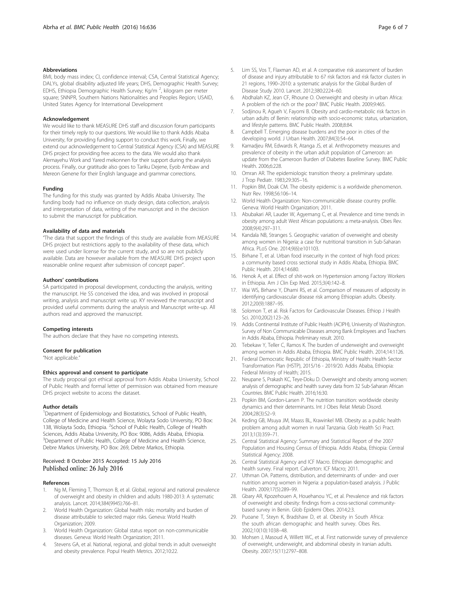#### <span id="page-5-0"></span>Abbreviations

BMI, body mass index; CI, confidence interval; CSA, Central Statistical Agency; DALYs, global disability adjusted life years; DHS, Demographic Health Survey; EDHS, Ethiopia Demographic Health Survey; Kg/m<sup>2</sup>, kilogram per meter square; SNNPR, Southern Nations Nationalities and Peoples Region; USAID, United States Agency for International Development

#### Acknowledgement

We would like to thank MEASURE DHS staff and discussion forum participants for their timely reply to our questions. We would like to thank Addis Ababa University, for providing funding support to conduct this work. Finally, we extend our acknowledgement to Central Statistical Agency (CSA) and MEASURE DHS project for providing free access to the data. We would also thank Alemayehu Work and Yared mekonnen for their support during the analysis process. Finally, our gratitude also goes to Tariku Dejene, Eyob Ambaw and Mereon Genene for their English language and grammar corrections.

#### Funding

The funding for this study was granted by Addis Ababa University. The funding body had no influence on study design, data collection, analysis and interpretation of data, writing of the manuscript and in the decision to submit the manuscript for publication.

#### Availability of data and materials

"The data that support the findings of this study are available from MEASURE DHS project but restrictions apply to the availability of these data, which were used under license for the current study, and so are not publicly available. Data are however available from the MEASURE DHS project upon reasonable online request after submission of concept paper".

#### Authors' contributions

SA participated in proposal development, conducting the analysis, writing the manuscript. He SS conceived the idea, and was involved in proposal writing, analysis and manuscript write up. KY reviewed the manuscript and provided useful comments during the analysis and Manuscript write-up. All authors read and approved the manuscript.

#### Competing interests

The authors declare that they have no competing interests.

#### Consent for publication

"Not applicable."

#### Ethics approval and consent to participate

The study proposal got ethical approval from Addis Ababa University, School of Public Health and formal letter of permission was obtained from measure DHS project website to access the dataset.

#### Author details

<sup>1</sup>Department of Epidemiology and Biostatistics, School of Public Health, College of Medicine and Health Science, Wolayta Sodo University, PO Box: 138, Wolayta Sodo, Ethiopia. <sup>2</sup>School of Public Health, College of Health Sciences, Addis Ababa University, PO Box: 9086, Addis Ababa, Ethiopia. <sup>3</sup>Department of Public Health, College of Medicine and Health Science, Debre Markos University, PO Box: 269, Debre Markos, Ethiopia.

# Received: 8 October 2015 Accepted: 15 July 2016 Published online: 26 July 2016

#### References

- Ng M, Fleming T, Thomson B, et al. Global, regional and national prevalence of overweight and obesity in children and adults 1980-2013: A systematic analysis. Lancet. 2014;384(9945):766–81.
- 2. World Health Organization: Global health risks: mortality and burden of disease attributable to selected major risks. Geneva: World Health Organization; 2009.
- 3. World Health Organization: Global status report on non-communicable diseases. Geneva: World Health Organization; 2011.
- 4. Stevens GA, et al. National, regional, and global trends in adult overweight and obesity prevalence. Popul Health Metrics. 2012;10:22.
- Lim SS, Vos T, Flaxman AD, et al. A comparative risk assessment of burden of disease and injury attributable to 67 risk factors and risk factor clusters in 21 regions, 1990–2010: a systematic analysis for the Global Burden of Disease Study 2010. Lancet. 2012;380:2224–60.
- 6. Abdhalah KZ, Jean CF, Rhoune O. Overweight and obesity in urban Africa: A problem of the rich or the poor? BMC Public Health. 2009;9:465.
- 7. Sodjinou R, Agueh V, Fayomi B. Obesity and cardio-metabolic risk factors in urban adults of Benin: relationship with socio-economic status, urbanization, and lifestyle patterns. BMC Public Health. 2008;8:84.
- 8. Campbell T. Emerging disease burdens and the poor in cities of the developing world. J Urban Health. 2007;84(3):54–64.
- 9. Kamadjeu RM, Edwards R, Atanga JS, et al. Anthropometry measures and prevalence of obesity in the urban adult population of Cameroon: an update from the Cameroon Burden of Diabetes Baseline Survey. BMC Public Health. 2006;6:228.
- 10. Omran AR. The epidemiologic transition theory: a preliminary update. J Trop Pediatr. 1983;29:305–16.
- 11. Popkin BM, Doak CM. The obesity epidemic is a worldwide phenomenon. Nutr Rev. 1998;56:106–14.
- 12. World Health Organization: Non-communicable disease country profile. Geneva: World Health Organization; 2011.
- 13. Abubakari AR, Lauder W, Agyemang C, et al. Prevalence and time trends in obesity among adult West African populations: a meta-analysis. Obes Rev. 2008;9(4):297–311.
- 14. Kandala NB, Stranges S. Geographic variation of overweight and obesity among women in Nigeria: a case for nutritional transition in Sub-Saharan Africa. PLoS One. 2014;9(6):e101103.
- 15. Birhane T, et al. Urban food insecurity in the context of high food prices: a community based cross sectional study in Addis Ababa, Ethiopia. BMC Public Health. 2014;14:680.
- 16. Henok A, et al. Effect of shit-work on Hypertension among Factory Workers in Ethiopia. Am J Clin Exp Med. 2015;3(4):142–8.
- 17. Wai WS, Birhane Y, Dhami RS, et al. Comparison of measures of adiposity in identifying cardiovascular disease risk among Ethiopian adults. Obesity. 2012;20(9):1887–95.
- 18. Solomon T, et al. Risk Factors for Cardiovascular Diseases. Ethiop J Health Sci. 2010;20(2):123–26.
- 19. Addis Continental Institute of Public Health (ACIPH), University of Washington. Survey of Non Communicable Diseases among Bank Employees and Teachers in Addis Ababa, Ethiopia. Preliminary result. 2010.
- 20. Tebekaw Y, Teller C, Ramos K. The burden of underweight and overweight among women in Addis Ababa, Ethiopia. BMC Public Health. 2014;14:1126.
- 21. Federal Democratic Republic of Ethiopia, Ministry of Health: Health Sector Transformation Plan (HSTP), 2015/16 - 2019/20. Addis Ababa, Ethiopia: Federal Ministry of Health; 2015.
- 22. Neupane S, Prakash KC, Teye-Doku D. Overweight and obesity among women: analysis of demographic and health survey data from 32 Sub-Saharan African Countries. BMC Public Health. 2016;16:30.
- 23. Popkin BM, Gordon-Larsen P. The nutrition transition: worldwide obesity dynamics and their determinants. Int J Obes Relat Metab Disord. 2004;28(3):S2–9.
- 24. Keding GB, Msuya JM, Maass BL, Krawinkel MB. Obesity as a public health problem among adult women in rural Tanzania. Glob Health Sci Pract. 2013;1(3):359–71.
- 25. Central Statistical Agency: Summary and Statistical Report of the 2007 Population and Housing Census of Ethiopia. Addis Ababa, Ethiopia: Central Statistical Agency; 2008.
- 26. Central Statistical Agency and ICF Macro. Ethiopian demographic and health survey. Final report. Calverton: ICF Macro; 2011.
- 27. Uthman OA. Patterns, distribution, and determinants of under- and over nutrition among women in Nigeria: a population-based analysis. J Public Health. 2009;17(5):289–99.
- 28. Gbary AR, Kpozehouen A, Houehanou YC, et al. Prevalence and risk factors of overweight and obesity: findings from a cross-sectional communitybased survey in Benin. Glob Epidemi Obes. 2014;2:3.
- 29. Puoane T, Steyn K, Bradshaw D, et al. Obesity in South Africa: the south african demographic and health survey. Obes Res. 2002;10(10):1038–48.
- 30. Mohsen J, Masoud A, Willett WC, et al. First nationwide survey of prevalence of overweight, underweight, and abdominal obesity in Iranian adults. Obesity. 2007;15(11):2797–808.